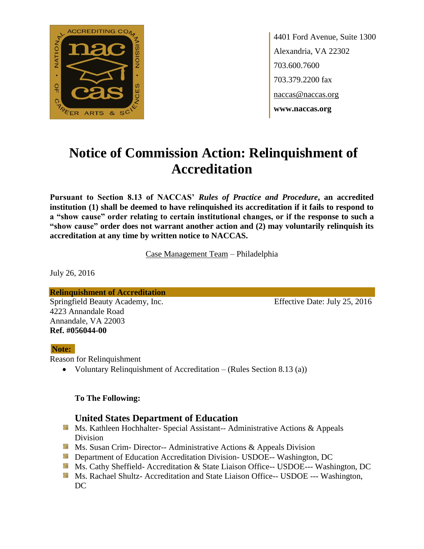

4401 Ford Avenue, Suite 1300 Alexandria, VA 22302 703.600.7600 703.379.2200 fax naccas@naccas.org **www.naccas.org**

# **Notice of Commission Action: Relinquishment of Accreditation**

**Pursuant to Section 8.13 of NACCAS'** *Rules of Practice and Procedure***, an accredited institution (1) shall be deemed to have relinquished its accreditation if it fails to respond to a "show cause" order relating to certain institutional changes, or if the response to such a "show cause" order does not warrant another action and (2) may voluntarily relinquish its accreditation at any time by written notice to NACCAS.**

Case Management Team – Philadelphia

July 26, 2016

**Relinquishment of Accreditation** Springfield Beauty Academy, Inc. Effective Date: July 25, 2016 4223 Annandale Road Annandale, VA 22003 **Ref. #056044-00**

### **Note:**

Reason for Relinquishment

• Voluntary Relinquishment of Accreditation – (Rules Section 8.13 (a))

### **To The Following:**

## **United States Department of Education**

- **Ms. Kathleen Hochhalter- Special Assistant-- Administrative Actions & Appeals** Division
- **Ms. Susan Crim- Director-- Administrative Actions & Appeals Division**
- **External Department of Education Accreditation Division- USDOE-- Washington, DC**
- Ms. Cathy Sheffield- Accreditation & State Liaison Office-- USDOE--- Washington, DC
- **MS. Rachael Shultz- Accreditation and State Liaison Office-- USDOE --- Washington,** DC